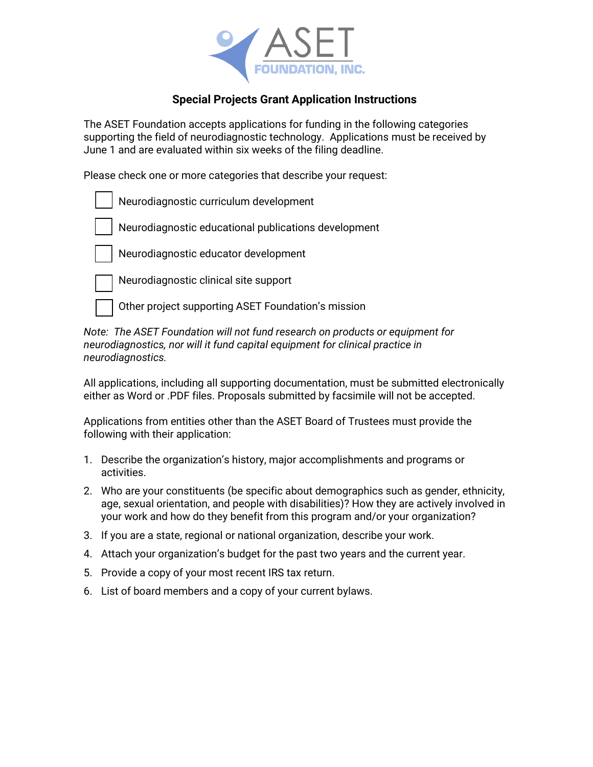

### **Special Projects Grant Application Instructions**

The ASET Foundation accepts applications for funding in the following categories supporting the field of neurodiagnostic technology. Applications must be received by June 1 and are evaluated within six weeks of the filing deadline.

Please check one or more categories that describe your request:



*Note: The ASET Foundation will not fund research on products or equipment for neurodiagnostics, nor will it fund capital equipment for clinical practice in neurodiagnostics.*

All applications, including all supporting documentation, must be submitted electronically either as Word or .PDF files. Proposals submitted by facsimile will not be accepted.

Applications from entities other than the ASET Board of Trustees must provide the following with their application:

- 1. Describe the organization's history, major accomplishments and programs or activities.
- 2. Who are your constituents (be specific about demographics such as gender, ethnicity, age, sexual orientation, and people with disabilities)? How they are actively involved in your work and how do they benefit from this program and/or your organization?
- 3. If you are a state, regional or national organization, describe your work.
- 4. Attach your organization's budget for the past two years and the current year.
- 5. Provide a copy of your most recent IRS tax return.
- 6. List of board members and a copy of your current bylaws.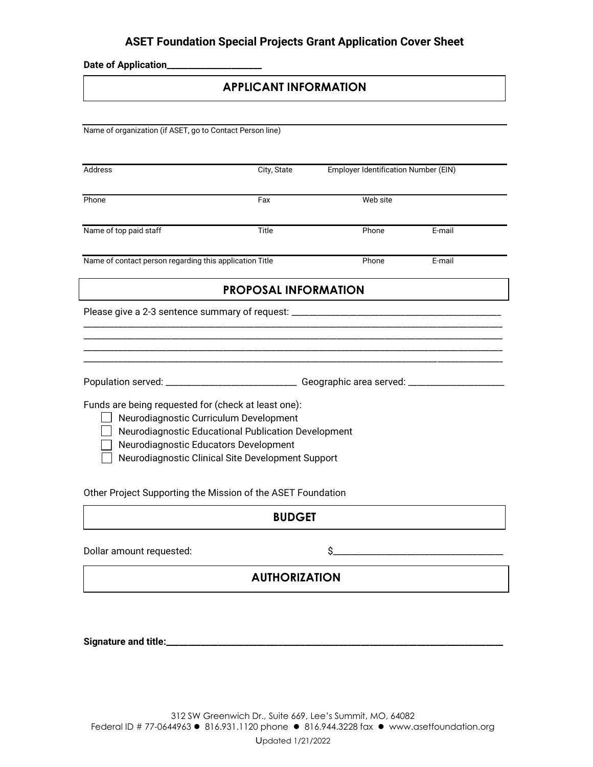## **ASET Foundation Special Projects Grant Application Cover Sheet**

**Date of Application\_\_\_\_\_\_\_\_\_\_\_\_\_\_\_\_\_\_\_\_\_\_**

# **APPLICANT INFORMATION**

| Name of organization (if ASET, go to Contact Person line)                                     |                                                                                    |          |                                      |  |
|-----------------------------------------------------------------------------------------------|------------------------------------------------------------------------------------|----------|--------------------------------------|--|
|                                                                                               |                                                                                    |          |                                      |  |
| Address                                                                                       | City, State                                                                        |          | Employer Identification Number (EIN) |  |
| Phone                                                                                         | Fax                                                                                | Web site |                                      |  |
| Name of top paid staff                                                                        | Title                                                                              | Phone    | E-mail                               |  |
| Name of contact person regarding this application Title                                       |                                                                                    | Phone    | E-mail                               |  |
|                                                                                               | <b>PROPOSAL INFORMATION</b>                                                        |          |                                      |  |
| Please give a 2-3 sentence summary of request: __________________________________             |                                                                                    |          |                                      |  |
|                                                                                               |                                                                                    |          |                                      |  |
|                                                                                               |                                                                                    |          |                                      |  |
|                                                                                               | Population served: ________________________________Geographic area served: _______ |          |                                      |  |
| Funds are being requested for (check at least one):<br>Neurodiagnostic Curriculum Development |                                                                                    |          |                                      |  |
| Neurodiagnostic Educational Publication Development<br>Neurodiagnostic Educators Development  |                                                                                    |          |                                      |  |
|                                                                                               | Neurodiagnostic Clinical Site Development Support                                  |          |                                      |  |
| Other Project Supporting the Mission of the ASET Foundation                                   |                                                                                    |          |                                      |  |
|                                                                                               | <b>BUDGET</b>                                                                      |          |                                      |  |

Dollar amount requested: \$\_\_\_\_\_\_\_\_\_\_\_\_\_\_\_\_\_\_\_\_\_\_\_\_\_\_\_\_\_\_\_\_\_\_\_\_\_\_\_

# **AUTHORIZATION**

**Signature and title:\_\_\_\_\_\_\_\_\_\_\_\_\_\_\_\_\_\_\_\_\_\_\_\_\_\_\_\_\_\_\_\_\_\_\_\_\_\_\_\_\_\_\_\_\_\_\_\_\_\_\_\_\_\_\_\_\_\_\_\_\_\_\_\_\_\_\_\_\_\_\_\_\_\_\_\_\_\_**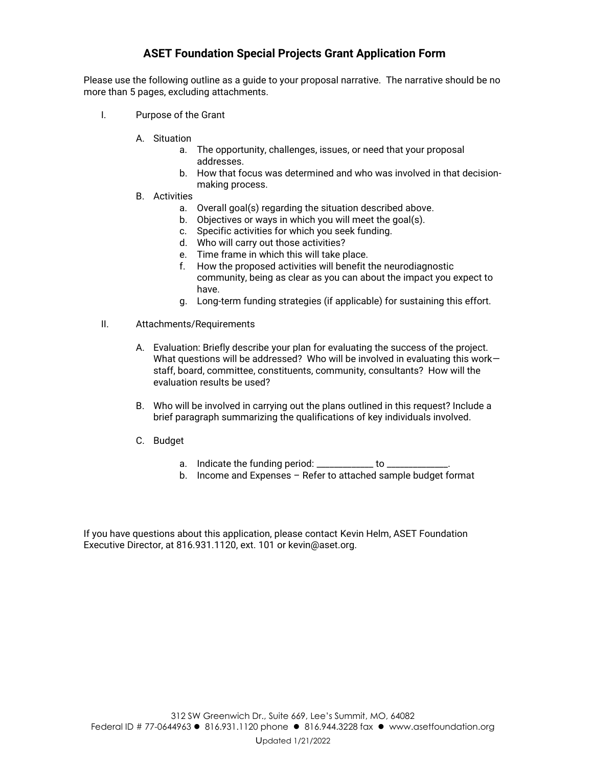## **ASET Foundation Special Projects Grant Application Form**

Please use the following outline as a guide to your proposal narrative. The narrative should be no more than 5 pages, excluding attachments.

- I. Purpose of the Grant
	- A. Situation
		- a. The opportunity, challenges, issues, or need that your proposal addresses.
		- b. How that focus was determined and who was involved in that decisionmaking process.
	- B. Activities
		- a. Overall goal(s) regarding the situation described above.
		- b. Objectives or ways in which you will meet the goal(s).
		- c. Specific activities for which you seek funding.
		- d. Who will carry out those activities?
		- e. Time frame in which this will take place.
		- f. How the proposed activities will benefit the neurodiagnostic community, being as clear as you can about the impact you expect to have.
		- g. Long-term funding strategies (if applicable) for sustaining this effort.
- II. Attachments/Requirements
	- A. Evaluation: Briefly describe your plan for evaluating the success of the project. What questions will be addressed? Who will be involved in evaluating this workstaff, board, committee, constituents, community, consultants? How will the evaluation results be used?
	- B. Who will be involved in carrying out the plans outlined in this request? Include a brief paragraph summarizing the qualifications of key individuals involved.
	- C. Budget
		- a. Indicate the funding period: \_\_\_\_\_\_\_\_\_\_\_\_\_\_ to \_\_
		- b. Income and Expenses Refer to attached sample budget format

If you have questions about this application, please contact Kevin Helm, ASET Foundation Executive Director, at 816.931.1120, ext. 101 or kevin@aset.org.